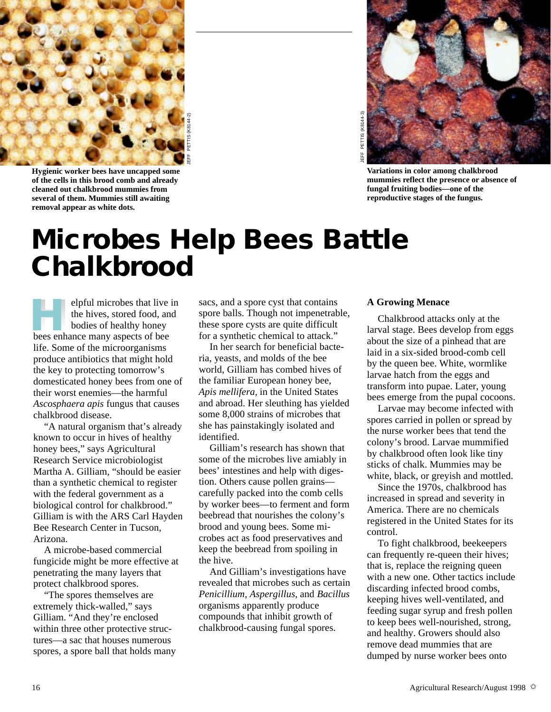

**Hygienic worker bees have uncapped some of the cells in this brood comb and already cleaned out chalkbrood mummies from several of them. Mummies still awaiting removal appear as white dots.**



**Variations in color among chalkbrood mummies reflect the presence or absence of fungal fruiting bodies—one of the reproductive stages of the fungus.**

## **Microbes Help Bees Battle**

elpful microbes that live in the hives, stored food, and bodies of healthy honey **Example 15 September 15 September 16 September 16 September 16 September 16 September 16 September 16 September 16 September 16 September 16 September 16 September 16 September 16 September 16 September 16 September 16 Se** life. Some of the microorganisms produce antibiotics that might hold the key to protecting tomorrow's domesticated honey bees from one of their worst enemies—the harmful *Ascosphaera apis* fungus that causes chalkbrood disease.

"A natural organism that's already known to occur in hives of healthy honey bees," says Agricultural Research Service microbiologist Martha A. Gilliam, "should be easier than a synthetic chemical to register with the federal government as a biological control for chalkbrood." Gilliam is with the ARS Carl Hayden Bee Research Center in Tucson, Arizona.

A microbe-based commercial fungicide might be more effective at penetrating the many layers that protect chalkbrood spores.

"The spores themselves are extremely thick-walled," says Gilliam. "And they're enclosed within three other protective structures—a sac that houses numerous spores, a spore ball that holds many sacs, and a spore cyst that contains spore balls. Though not impenetrable, these spore cysts are quite difficult for a synthetic chemical to attack."

In her search for beneficial bacteria, yeasts, and molds of the bee world, Gilliam has combed hives of the familiar European honey bee, *Apis mellifera,* in the United States and abroad. Her sleuthing has yielded some 8,000 strains of microbes that she has painstakingly isolated and identified.

Gilliam's research has shown that some of the microbes live amiably in bees' intestines and help with digestion. Others cause pollen grains carefully packed into the comb cells by worker bees—to ferment and form beebread that nourishes the colony's brood and young bees. Some microbes act as food preservatives and keep the beebread from spoiling in the hive.

And Gilliam's investigations have revealed that microbes such as certain *Penicillium, Aspergillus,* and *Bacillus* organisms apparently produce compounds that inhibit growth of chalkbrood-causing fungal spores.

## **A Growing Menace**

Chalkbrood attacks only at the larval stage. Bees develop from eggs about the size of a pinhead that are laid in a six-sided brood-comb cell by the queen bee. White, wormlike larvae hatch from the eggs and transform into pupae. Later, young bees emerge from the pupal cocoons.

Larvae may become infected with spores carried in pollen or spread by the nurse worker bees that tend the colony's brood. Larvae mummified by chalkbrood often look like tiny sticks of chalk. Mummies may be white, black, or greyish and mottled.

Since the 1970s, chalkbrood has increased in spread and severity in America. There are no chemicals registered in the United States for its control.

To fight chalkbrood, beekeepers can frequently re-queen their hives; that is, replace the reigning queen with a new one. Other tactics include discarding infected brood combs, keeping hives well-ventilated, and feeding sugar syrup and fresh pollen to keep bees well-nourished, strong, and healthy. Growers should also remove dead mummies that are dumped by nurse worker bees onto